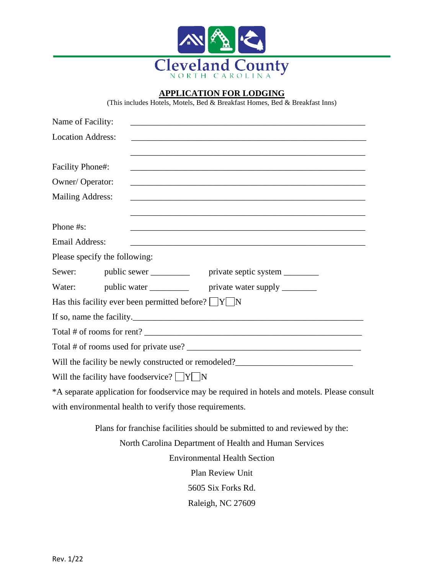

## **APPLICATION FOR LODGING**

(This includes Hotels, Motels, Bed & Breakfast Homes, Bed & Breakfast Inns)

| Name of Facility:                                                                            |
|----------------------------------------------------------------------------------------------|
| <b>Location Address:</b>                                                                     |
| <b>Facility Phone#:</b>                                                                      |
| Owner/Operator:                                                                              |
| <b>Mailing Address:</b>                                                                      |
| Phone #s:                                                                                    |
| <b>Email Address:</b>                                                                        |
| Please specify the following:                                                                |
| public sewer _____________ private septic system _________<br>Sewer:                         |
| Water:                                                                                       |
| Has this facility ever been permitted before? $\Box Y \Box N$                                |
|                                                                                              |
|                                                                                              |
|                                                                                              |
|                                                                                              |
| Will the facility have foodservice? $\Box Y \Box N$                                          |
| *A separate application for foodservice may be required in hotels and motels. Please consult |
| with environmental health to verify those requirements.                                      |
| Plans for franchise facilities should be submitted to and reviewed by the:                   |
| North Carolina Department of Health and Human Services                                       |
| <b>Environmental Health Section</b>                                                          |
| <b>Plan Review Unit</b>                                                                      |
| 5605 Six Forks Rd.                                                                           |

Raleigh, NC 27609